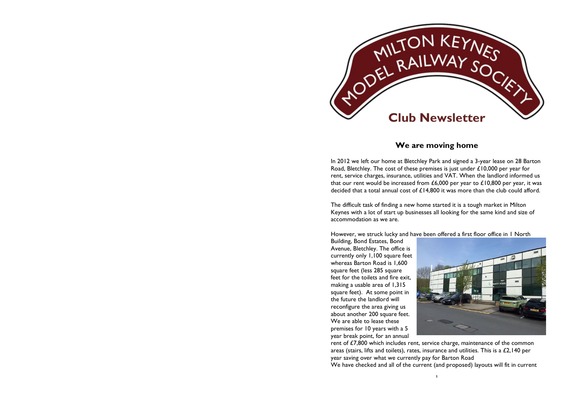

## **We are moving home**

In 2012 we left our home at Bletchley Park and signed a 3-year lease on 28 Barton Road, Bletchley. The cost of these premises is just under £10,000 per year for rent, service charges, insurance, utilities and VAT. When the landlord informed us that our rent would be increased from £6,000 per year to £10,800 per year, it was decided that a total annual cost of £14,800 it was more than the club could afford.

The difficult task of finding a new home started it is a tough market in Milton Keynes with a lot of start up businesses all looking for the same kind and size of accommodation as we are.

However, we struck lucky and have been offered a first floor office in 1 North

Building, Bond Estates, Bond Avenue, Bletchley. The office is currently only 1,100 square feet whereas Barton Road is 1,600 square feet (less 285 square feet for the toilets and fire exit, making a usable area of 1,315 square feet). At some point in the future the landlord will reconfigure the area giving us about another 200 square feet. We are able to lease these premises for 10 years with a 5 year break point, for an annual



rent of £7,800 which includes rent, service charge, maintenance of the common areas (stairs, lifts and toilets), rates, insurance and utilities. This is a £2,140 per year saving over what we currently pay for Barton Road

We have checked and all of the current (and proposed) layouts will fit in current